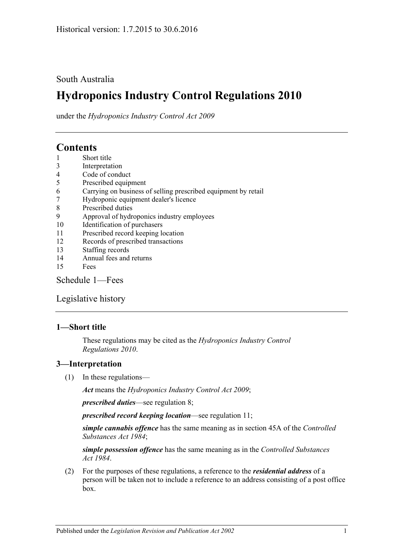### South Australia

# **Hydroponics Industry Control Regulations 2010**

under the *Hydroponics Industry Control Act 2009*

## **Contents**

- 1 [Short title](#page-0-0)
- 3 [Interpretation](#page-0-1)
- 4 [Code of conduct](#page-1-0)
- 5 [Prescribed equipment](#page-1-1)
- 6 [Carrying on business of selling prescribed equipment by retail](#page-1-2)
- 7 [Hydroponic equipment dealer's licence](#page-1-3)
- 8 [Prescribed duties](#page-2-0)
- 9 [Approval of hydroponics industry employees](#page-2-1)
- 10 [Identification of purchasers](#page-3-0)
- 11 [Prescribed record keeping location](#page-4-0)
- 12 [Records of prescribed transactions](#page-4-1)
- 13 [Staffing records](#page-5-0)
- 14 [Annual fees and returns](#page-5-1)
- 15 [Fees](#page-6-0)

[Schedule](#page-6-1) 1—Fees

[Legislative history](#page-7-0)

#### <span id="page-0-0"></span>**1—Short title**

These regulations may be cited as the *Hydroponics Industry Control Regulations 2010*.

#### <span id="page-0-1"></span>**3—Interpretation**

(1) In these regulations—

*Act* means the *[Hydroponics Industry Control Act](http://www.legislation.sa.gov.au/index.aspx?action=legref&type=act&legtitle=Hydroponics%20Industry%20Control%20Act%202009) 2009*;

*prescribed duties*—see [regulation](#page-2-0) 8;

*prescribed record keeping location*—see [regulation](#page-4-0) 11;

*simple cannabis offence* has the same meaning as in section 45A of the *[Controlled](http://www.legislation.sa.gov.au/index.aspx?action=legref&type=act&legtitle=Controlled%20Substances%20Act%201984)  [Substances Act](http://www.legislation.sa.gov.au/index.aspx?action=legref&type=act&legtitle=Controlled%20Substances%20Act%201984) 1984*;

*simple possession offence* has the same meaning as in the *[Controlled Substances](http://www.legislation.sa.gov.au/index.aspx?action=legref&type=act&legtitle=Controlled%20Substances%20Act%201984)  Act [1984](http://www.legislation.sa.gov.au/index.aspx?action=legref&type=act&legtitle=Controlled%20Substances%20Act%201984)*.

(2) For the purposes of these regulations, a reference to the *residential address* of a person will be taken not to include a reference to an address consisting of a post office box.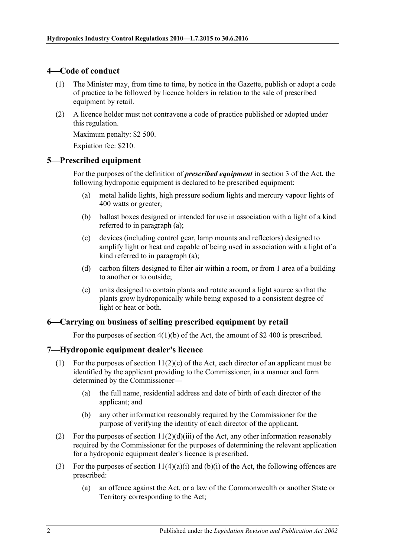#### <span id="page-1-0"></span>**4—Code of conduct**

- (1) The Minister may, from time to time, by notice in the Gazette, publish or adopt a code of practice to be followed by licence holders in relation to the sale of prescribed equipment by retail.
- (2) A licence holder must not contravene a code of practice published or adopted under this regulation.

Maximum penalty: \$2 500.

Expiation fee: \$210.

#### <span id="page-1-4"></span><span id="page-1-1"></span>**5—Prescribed equipment**

For the purposes of the definition of *prescribed equipment* in section 3 of the Act, the following hydroponic equipment is declared to be prescribed equipment:

- (a) metal halide lights, high pressure sodium lights and mercury vapour lights of 400 watts or greater;
- (b) ballast boxes designed or intended for use in association with a light of a kind referred to in [paragraph](#page-1-4) (a);
- (c) devices (including control gear, lamp mounts and reflectors) designed to amplify light or heat and capable of being used in association with a light of a kind referred to in [paragraph](#page-1-4) (a);
- (d) carbon filters designed to filter air within a room, or from 1 area of a building to another or to outside;
- (e) units designed to contain plants and rotate around a light source so that the plants grow hydroponically while being exposed to a consistent degree of light or heat or both.

#### <span id="page-1-2"></span>**6—Carrying on business of selling prescribed equipment by retail**

For the purposes of section 4(1)(b) of the Act, the amount of \$2 400 is prescribed.

#### <span id="page-1-3"></span>**7—Hydroponic equipment dealer's licence**

- (1) For the purposes of section  $11(2)(c)$  of the Act, each director of an applicant must be identified by the applicant providing to the Commissioner, in a manner and form determined by the Commissioner—
	- (a) the full name, residential address and date of birth of each director of the applicant; and
	- (b) any other information reasonably required by the Commissioner for the purpose of verifying the identity of each director of the applicant.
- (2) For the purposes of section  $11(2)(d)(iii)$  of the Act, any other information reasonably required by the Commissioner for the purposes of determining the relevant application for a hydroponic equipment dealer's licence is prescribed.
- (3) For the purposes of section  $11(4)(a)(i)$  and  $(b)(i)$  of the Act, the following offences are prescribed:
	- (a) an offence against the Act, or a law of the Commonwealth or another State or Territory corresponding to the Act;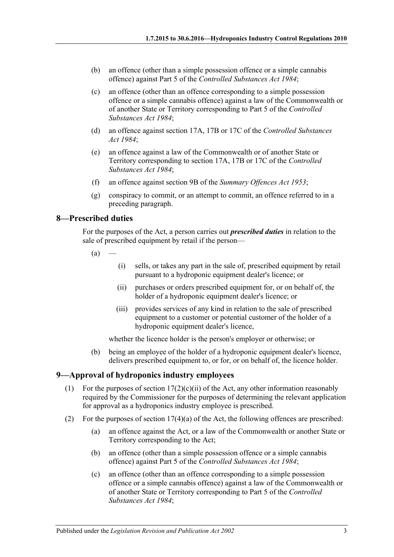- (b) an offence (other than a simple possession offence or a simple cannabis offence) against Part 5 of the *[Controlled Substances Act](http://www.legislation.sa.gov.au/index.aspx?action=legref&type=act&legtitle=Controlled%20Substances%20Act%201984) 1984*;
- (c) an offence (other than an offence corresponding to a simple possession offence or a simple cannabis offence) against a law of the Commonwealth or of another State or Territory corresponding to Part 5 of the *[Controlled](http://www.legislation.sa.gov.au/index.aspx?action=legref&type=act&legtitle=Controlled%20Substances%20Act%201984)  [Substances Act](http://www.legislation.sa.gov.au/index.aspx?action=legref&type=act&legtitle=Controlled%20Substances%20Act%201984) 1984*;
- (d) an offence against section 17A, 17B or 17C of the *[Controlled Substances](http://www.legislation.sa.gov.au/index.aspx?action=legref&type=act&legtitle=Controlled%20Substances%20Act%201984)  Act [1984](http://www.legislation.sa.gov.au/index.aspx?action=legref&type=act&legtitle=Controlled%20Substances%20Act%201984)*;
- (e) an offence against a law of the Commonwealth or of another State or Territory corresponding to section 17A, 17B or 17C of the *[Controlled](http://www.legislation.sa.gov.au/index.aspx?action=legref&type=act&legtitle=Controlled%20Substances%20Act%201984)  [Substances Act](http://www.legislation.sa.gov.au/index.aspx?action=legref&type=act&legtitle=Controlled%20Substances%20Act%201984) 1984*;
- (f) an offence against section 9B of the *[Summary Offences Act](http://www.legislation.sa.gov.au/index.aspx?action=legref&type=act&legtitle=Summary%20Offences%20Act%201953) 1953*;
- (g) conspiracy to commit, or an attempt to commit, an offence referred to in a preceding paragraph.

#### <span id="page-2-0"></span>**8—Prescribed duties**

For the purposes of the Act, a person carries out *prescribed duties* in relation to the sale of prescribed equipment by retail if the person—

- $(a)$
- (i) sells, or takes any part in the sale of, prescribed equipment by retail pursuant to a hydroponic equipment dealer's licence; or
- (ii) purchases or orders prescribed equipment for, or on behalf of, the holder of a hydroponic equipment dealer's licence; or
- (iii) provides services of any kind in relation to the sale of prescribed equipment to a customer or potential customer of the holder of a hydroponic equipment dealer's licence,

whether the licence holder is the person's employer or otherwise; or

(b) being an employee of the holder of a hydroponic equipment dealer's licence, delivers prescribed equipment to, or for, or on behalf of, the licence holder.

#### <span id="page-2-1"></span>**9—Approval of hydroponics industry employees**

- (1) For the purposes of section  $17(2)(c)(ii)$  of the Act, any other information reasonably required by the Commissioner for the purposes of determining the relevant application for approval as a hydroponics industry employee is prescribed.
- (2) For the purposes of section 17(4)(a) of the Act, the following offences are prescribed:
	- (a) an offence against the Act, or a law of the Commonwealth or another State or Territory corresponding to the Act;
	- (b) an offence (other than a simple possession offence or a simple cannabis offence) against Part 5 of the *[Controlled Substances Act](http://www.legislation.sa.gov.au/index.aspx?action=legref&type=act&legtitle=Controlled%20Substances%20Act%201984) 1984*;
	- (c) an offence (other than an offence corresponding to a simple possession offence or a simple cannabis offence) against a law of the Commonwealth or of another State or Territory corresponding to Part 5 of the *[Controlled](http://www.legislation.sa.gov.au/index.aspx?action=legref&type=act&legtitle=Controlled%20Substances%20Act%201984)  [Substances Act](http://www.legislation.sa.gov.au/index.aspx?action=legref&type=act&legtitle=Controlled%20Substances%20Act%201984) 1984*;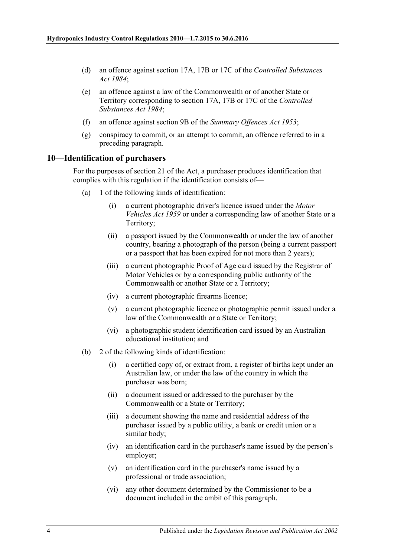- (d) an offence against section 17A, 17B or 17C of the *[Controlled Substances](http://www.legislation.sa.gov.au/index.aspx?action=legref&type=act&legtitle=Controlled%20Substances%20Act%201984)  Act [1984](http://www.legislation.sa.gov.au/index.aspx?action=legref&type=act&legtitle=Controlled%20Substances%20Act%201984)*;
- (e) an offence against a law of the Commonwealth or of another State or Territory corresponding to section 17A, 17B or 17C of the *[Controlled](http://www.legislation.sa.gov.au/index.aspx?action=legref&type=act&legtitle=Controlled%20Substances%20Act%201984)  [Substances Act](http://www.legislation.sa.gov.au/index.aspx?action=legref&type=act&legtitle=Controlled%20Substances%20Act%201984) 1984*;
- (f) an offence against section 9B of the *[Summary Offences Act](http://www.legislation.sa.gov.au/index.aspx?action=legref&type=act&legtitle=Summary%20Offences%20Act%201953) 1953*;
- (g) conspiracy to commit, or an attempt to commit, an offence referred to in a preceding paragraph.

#### <span id="page-3-0"></span>**10—Identification of purchasers**

For the purposes of section 21 of the Act, a purchaser produces identification that complies with this regulation if the identification consists of—

- (a) 1 of the following kinds of identification:
	- (i) a current photographic driver's licence issued under the *[Motor](http://www.legislation.sa.gov.au/index.aspx?action=legref&type=act&legtitle=Motor%20Vehicles%20Act%201959)  [Vehicles Act](http://www.legislation.sa.gov.au/index.aspx?action=legref&type=act&legtitle=Motor%20Vehicles%20Act%201959) 1959* or under a corresponding law of another State or a Territory;
	- (ii) a passport issued by the Commonwealth or under the law of another country, bearing a photograph of the person (being a current passport or a passport that has been expired for not more than 2 years);
	- (iii) a current photographic Proof of Age card issued by the Registrar of Motor Vehicles or by a corresponding public authority of the Commonwealth or another State or a Territory;
	- (iv) a current photographic firearms licence;
	- (v) a current photographic licence or photographic permit issued under a law of the Commonwealth or a State or Territory;
	- (vi) a photographic student identification card issued by an Australian educational institution; and
- (b) 2 of the following kinds of identification:
	- (i) a certified copy of, or extract from, a register of births kept under an Australian law, or under the law of the country in which the purchaser was born;
	- (ii) a document issued or addressed to the purchaser by the Commonwealth or a State or Territory;
	- (iii) a document showing the name and residential address of the purchaser issued by a public utility, a bank or credit union or a similar body;
	- (iv) an identification card in the purchaser's name issued by the person's employer;
	- (v) an identification card in the purchaser's name issued by a professional or trade association;
	- (vi) any other document determined by the Commissioner to be a document included in the ambit of this paragraph.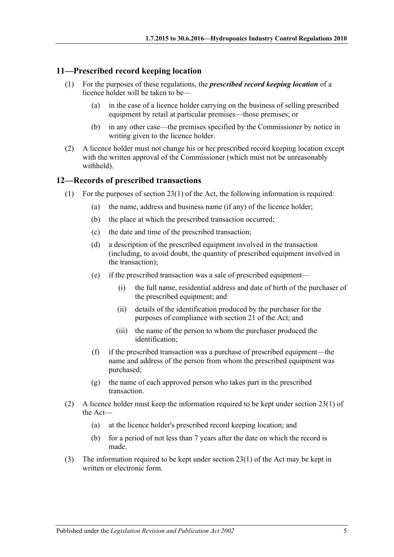#### <span id="page-4-0"></span>**11—Prescribed record keeping location**

- (1) For the purposes of these regulations, the *prescribed record keeping location* of a licence holder will be taken to be—
	- (a) in the case of a licence holder carrying on the business of selling prescribed equipment by retail at particular premises—those premises; or
	- (b) in any other case—the premises specified by the Commissioner by notice in writing given to the licence holder.
- (2) A licence holder must not change his or her prescribed record keeping location except with the written approval of the Commissioner (which must not be unreasonably withheld).

#### <span id="page-4-1"></span>**12—Records of prescribed transactions**

- <span id="page-4-5"></span><span id="page-4-4"></span><span id="page-4-2"></span>(1) For the purposes of section 23(1) of the Act, the following information is required:
	- (a) the name, address and business name (if any) of the licence holder;
	- (b) the place at which the prescribed transaction occurred;
	- (c) the date and time of the prescribed transaction;
	- (d) a description of the prescribed equipment involved in the transaction (including, to avoid doubt, the quantity of prescribed equipment involved in the transaction);
	- (e) if the prescribed transaction was a sale of prescribed equipment—
		- (i) the full name, residential address and date of birth of the purchaser of the prescribed equipment; and
		- (ii) details of the identification produced by the purchaser for the purposes of compliance with section 21 of the Act; and
		- (iii) the name of the person to whom the purchaser produced the identification;
	- (f) if the prescribed transaction was a purchase of prescribed equipment—the name and address of the person from whom the prescribed equipment was purchased;
	- (g) the name of each approved person who takes part in the prescribed transaction.
- <span id="page-4-3"></span>(2) A licence holder must keep the information required to be kept under section 23(1) of the Act—
	- (a) at the licence holder's prescribed record keeping location; and
	- (b) for a period of not less than 7 years after the date on which the record is made.
- (3) The information required to be kept under section 23(1) of the Act may be kept in written or electronic form.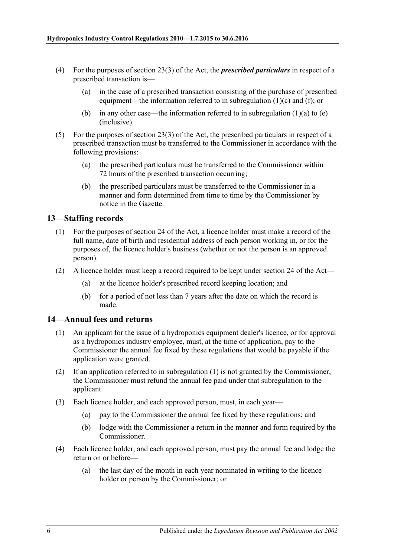- (4) For the purposes of section 23(3) of the Act, the *prescribed particulars* in respect of a prescribed transaction is—
	- (a) in the case of a prescribed transaction consisting of the purchase of prescribed equipment—the information referred to in [subregulation](#page-4-2) (1)(c) and [\(f\);](#page-4-3) or
	- (b) in any other case—the information referred to in [subregulation](#page-4-4)  $(1)(a)$  to  $(e)$ (inclusive).
- (5) For the purposes of section 23(3) of the Act, the prescribed particulars in respect of a prescribed transaction must be transferred to the Commissioner in accordance with the following provisions:
	- (a) the prescribed particulars must be transferred to the Commissioner within 72 hours of the prescribed transaction occurring;
	- (b) the prescribed particulars must be transferred to the Commissioner in a manner and form determined from time to time by the Commissioner by notice in the Gazette.

#### <span id="page-5-0"></span>**13—Staffing records**

- (1) For the purposes of section 24 of the Act, a licence holder must make a record of the full name, date of birth and residential address of each person working in, or for the purposes of, the licence holder's business (whether or not the person is an approved person).
- (2) A licence holder must keep a record required to be kept under section 24 of the Act—
	- (a) at the licence holder's prescribed record keeping location; and
	- (b) for a period of not less than 7 years after the date on which the record is made.

#### <span id="page-5-2"></span><span id="page-5-1"></span>**14—Annual fees and returns**

- (1) An applicant for the issue of a hydroponics equipment dealer's licence, or for approval as a hydroponics industry employee, must, at the time of application, pay to the Commissioner the annual fee fixed by these regulations that would be payable if the application were granted.
- (2) If an application referred to in [subregulation](#page-5-2) (1) is not granted by the Commissioner, the Commissioner must refund the annual fee paid under that subregulation to the applicant.
- (3) Each licence holder, and each approved person, must, in each year—
	- (a) pay to the Commissioner the annual fee fixed by these regulations; and
	- (b) lodge with the Commissioner a return in the manner and form required by the Commissioner.
- (4) Each licence holder, and each approved person, must pay the annual fee and lodge the return on or before—
	- (a) the last day of the month in each year nominated in writing to the licence holder or person by the Commissioner; or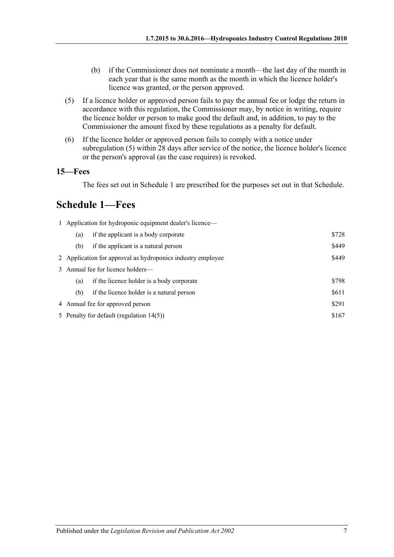- (b) if the Commissioner does not nominate a month—the last day of the month in each year that is the same month as the month in which the licence holder's licence was granted, or the person approved.
- <span id="page-6-2"></span>(5) If a licence holder or approved person fails to pay the annual fee or lodge the return in accordance with this regulation, the Commissioner may, by notice in writing, require the licence holder or person to make good the default and, in addition, to pay to the Commissioner the amount fixed by these regulations as a penalty for default.
- (6) If the licence holder or approved person fails to comply with a notice under [subregulation](#page-6-2) (5) within 28 days after service of the notice, the licence holder's licence or the person's approval (as the case requires) is revoked.

#### <span id="page-6-0"></span>**15—Fees**

The fees set out in Schedule 1 are prescribed for the purposes set out in that Schedule.

## <span id="page-6-1"></span>**Schedule 1—Fees**

|                                                                      | 1 Application for hydroponic equipment dealer's licence— |       |  |  |  |
|----------------------------------------------------------------------|----------------------------------------------------------|-------|--|--|--|
| (a)                                                                  | if the applicant is a body corporate                     | \$728 |  |  |  |
| (b)                                                                  | if the applicant is a natural person                     | \$449 |  |  |  |
| \$449<br>2 Application for approval as hydroponics industry employee |                                                          |       |  |  |  |
|                                                                      | 3 Annual fee for licence holders—                        |       |  |  |  |
| (a)                                                                  | if the licence holder is a body corporate                | \$798 |  |  |  |
| (b)                                                                  | if the licence holder is a natural person                | \$611 |  |  |  |
| 4 Annual fee for approved person                                     |                                                          | \$291 |  |  |  |
| \$167<br>5 Penalty for default (regulation 14(5))                    |                                                          |       |  |  |  |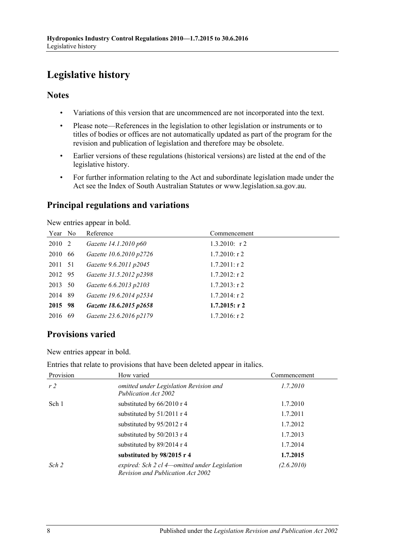# <span id="page-7-0"></span>**Legislative history**

#### **Notes**

- Variations of this version that are uncommenced are not incorporated into the text.
- Please note—References in the legislation to other legislation or instruments or to titles of bodies or offices are not automatically updated as part of the program for the revision and publication of legislation and therefore may be obsolete.
- Earlier versions of these regulations (historical versions) are listed at the end of the legislative history.
- For further information relating to the Act and subordinate legislation made under the Act see the Index of South Australian Statutes or www.legislation.sa.gov.au.

## **Principal regulations and variations**

New entries appear in bold.

| Year No |      | Reference               | Commencement     |
|---------|------|-------------------------|------------------|
| 2010 2  |      | Gazette 14.1.2010 p60   | $1.3.2010$ : r 2 |
| 2010    | 66   | Gazette 10.6.2010 p2726 | $1.7.2010$ : r 2 |
| 2011 51 |      | Gazette 9.6.2011 p2045  | $1.7.2011:$ r 2  |
| 2012 95 |      | Gazette 31.5.2012 p2398 | $1.7.2012$ : r 2 |
| 2013 50 |      | Gazette 6.6.2013 p2103  | $1.7.2013$ : r 2 |
| 2014    | - 89 | Gazette 19.6.2014 p2534 | $1.7.2014$ : r 2 |
| 2015 98 |      | Gazette 18.6.2015 p2658 | $1.7.2015$ : r 2 |
| 2016    | 69   | Gazette 23.6.2016 p2179 | $1.7.2016$ : r 2 |

### **Provisions varied**

New entries appear in bold.

Entries that relate to provisions that have been deleted appear in italics.

| Provision      | How varied                                                                         | Commencement |
|----------------|------------------------------------------------------------------------------------|--------------|
| r <sub>2</sub> | omitted under Legislation Revision and<br>Publication Act 2002                     | 1.7.2010     |
| Sch 1          | substituted by 66/2010 r 4                                                         | 1.7.2010     |
|                | substituted by 51/2011 r 4                                                         | 1.7.2011     |
|                | substituted by 95/2012 r 4                                                         | 1.7.2012     |
|                | substituted by 50/2013 r 4                                                         | 1.7.2013     |
|                | substituted by 89/2014 r 4                                                         | 1.7.2014     |
|                | substituted by $98/2015$ r 4                                                       | 1.7.2015     |
| Sch 2          | expired: Sch 2 cl 4—omitted under Legislation<br>Revision and Publication Act 2002 | (2.6.2010)   |